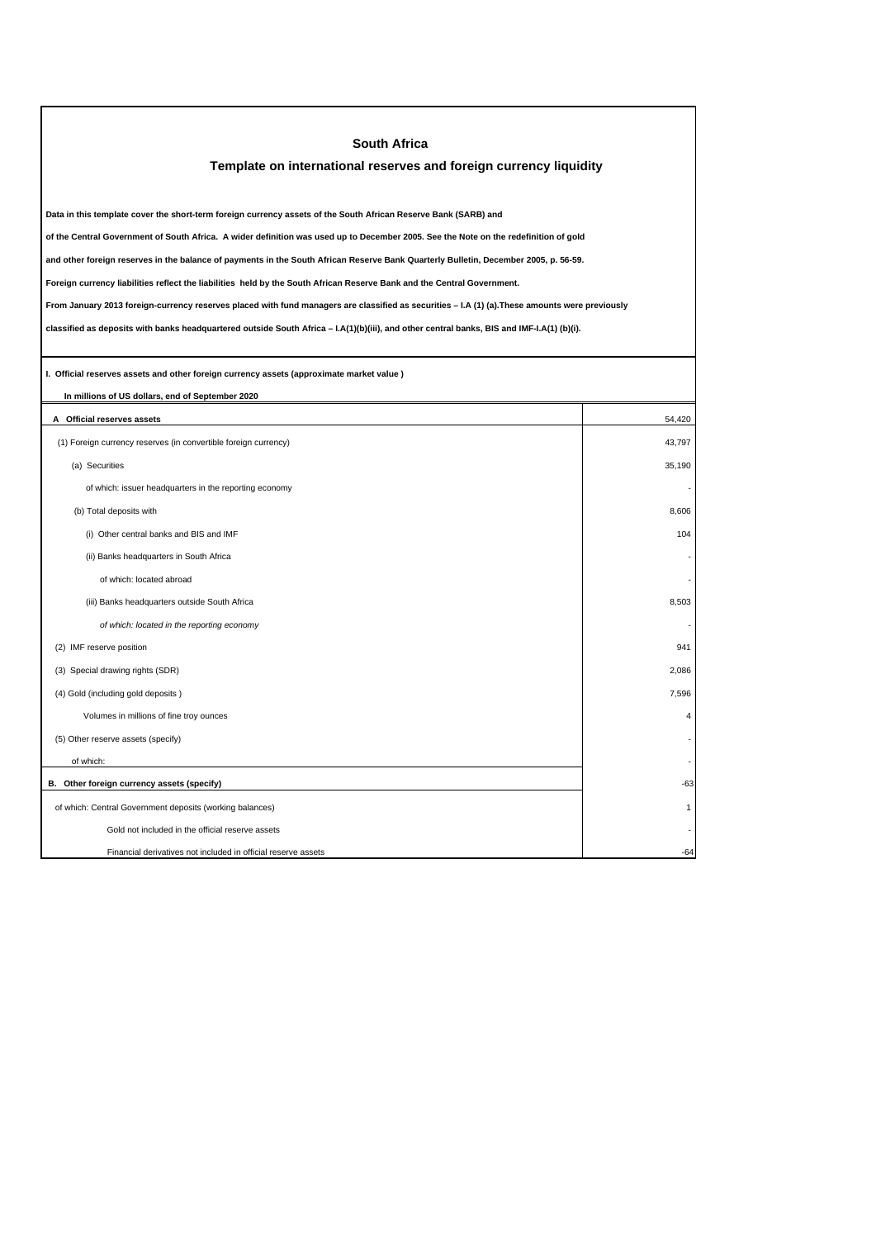| <b>South Africa</b>                                                                                                                             |                         |  |  |  |
|-------------------------------------------------------------------------------------------------------------------------------------------------|-------------------------|--|--|--|
| Template on international reserves and foreign currency liquidity                                                                               |                         |  |  |  |
|                                                                                                                                                 |                         |  |  |  |
| Data in this template cover the short-term foreign currency assets of the South African Reserve Bank (SARB) and                                 |                         |  |  |  |
| of the Central Government of South Africa. A wider definition was used up to December 2005. See the Note on the redefinition of gold            |                         |  |  |  |
| and other foreign reserves in the balance of payments in the South African Reserve Bank Quarterly Bulletin, December 2005, p. 56-59.            |                         |  |  |  |
| Foreign currency liabilities reflect the liabilities held by the South African Reserve Bank and the Central Government.                         |                         |  |  |  |
| From January 2013 foreign-currency reserves placed with fund managers are classified as securities - I.A (1) (a). These amounts were previously |                         |  |  |  |
| classified as deposits with banks headquartered outside South Africa - I.A(1)(b)(iii), and other central banks, BIS and IMF-I.A(1) (b)(i).      |                         |  |  |  |
|                                                                                                                                                 |                         |  |  |  |
| I. Official reserves assets and other foreign currency assets (approximate market value)                                                        |                         |  |  |  |
| In millions of US dollars, end of September 2020                                                                                                |                         |  |  |  |
| A Official reserves assets                                                                                                                      | 54,420                  |  |  |  |
| (1) Foreign currency reserves (in convertible foreign currency)                                                                                 | 43,797                  |  |  |  |
| (a) Securities                                                                                                                                  | 35.190                  |  |  |  |
| of which: issuer headquarters in the reporting economy                                                                                          |                         |  |  |  |
| (b) Total deposits with                                                                                                                         | 8,606                   |  |  |  |
| (i) Other central banks and BIS and IMF                                                                                                         | 104                     |  |  |  |
| (ii) Banks headquarters in South Africa                                                                                                         |                         |  |  |  |
| of which: located abroad                                                                                                                        |                         |  |  |  |
| (iii) Banks headquarters outside South Africa                                                                                                   | 8,503                   |  |  |  |
| of which: located in the reporting economy                                                                                                      |                         |  |  |  |
| (2) IMF reserve position                                                                                                                        | 941                     |  |  |  |
| (3) Special drawing rights (SDR)                                                                                                                | 2,086                   |  |  |  |
| (4) Gold (including gold deposits)                                                                                                              | 7,596                   |  |  |  |
| Volumes in millions of fine troy ounces                                                                                                         | $\overline{\mathbf{A}}$ |  |  |  |
| (5) Other reserve assets (specify)                                                                                                              |                         |  |  |  |
| of which:                                                                                                                                       |                         |  |  |  |
| B. Other foreign currency assets (specify)                                                                                                      | -63                     |  |  |  |
| of which: Central Government deposits (working balances)                                                                                        | 1                       |  |  |  |
| Gold not included in the official reserve assets                                                                                                |                         |  |  |  |
| Financial derivatives not included in official reserve assets                                                                                   | $-64$                   |  |  |  |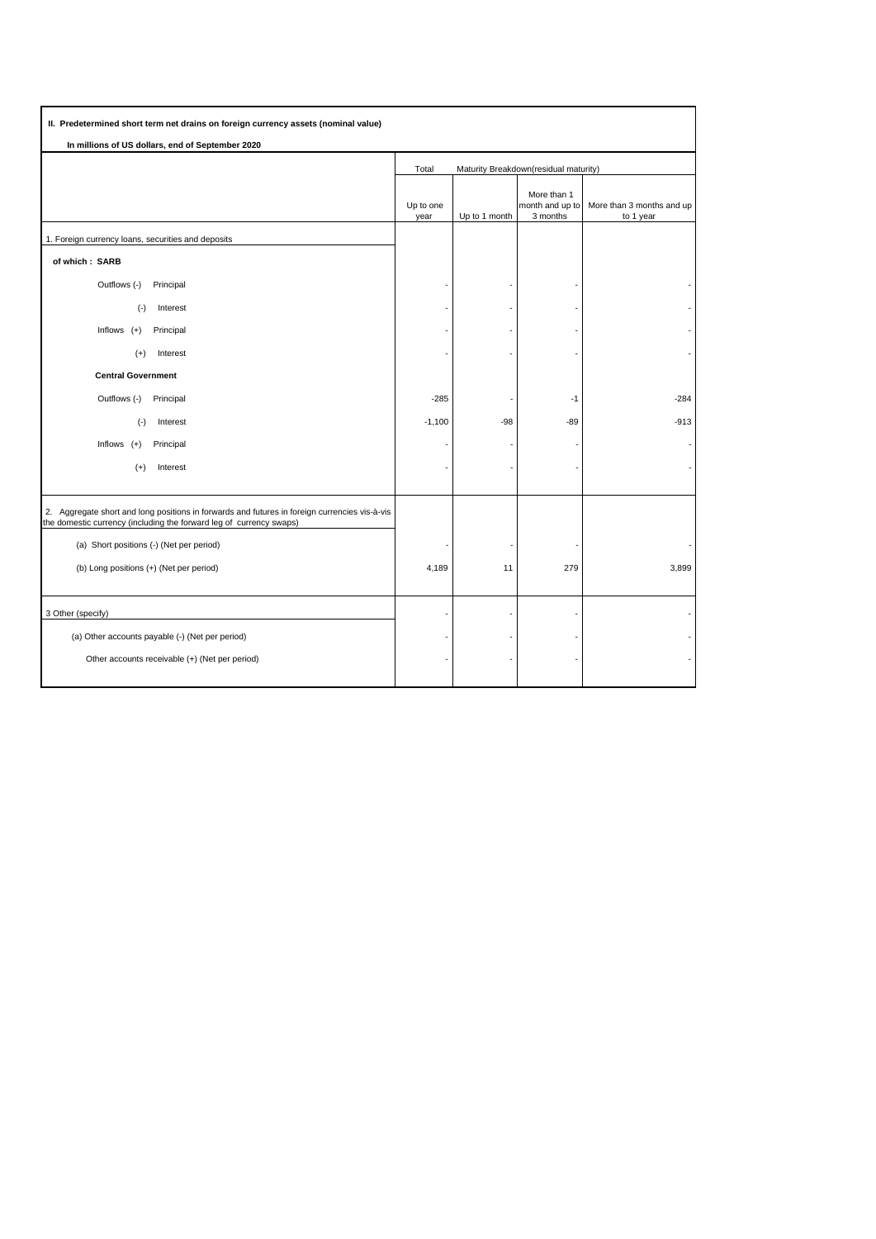| II. Predetermined short term net drains on foreign currency assets (nominal value)                                                                                   |                                                |               |                                            |                                        |
|----------------------------------------------------------------------------------------------------------------------------------------------------------------------|------------------------------------------------|---------------|--------------------------------------------|----------------------------------------|
| In millions of US dollars, end of September 2020                                                                                                                     |                                                |               |                                            |                                        |
|                                                                                                                                                                      | Total<br>Maturity Breakdown(residual maturity) |               |                                            |                                        |
|                                                                                                                                                                      | Up to one<br>year                              | Up to 1 month | More than 1<br>month and up to<br>3 months | More than 3 months and up<br>to 1 year |
| 1. Foreign currency loans, securities and deposits                                                                                                                   |                                                |               |                                            |                                        |
| of which: SARB                                                                                                                                                       |                                                |               |                                            |                                        |
| Outflows (-)<br>Principal                                                                                                                                            |                                                |               |                                            |                                        |
| $(-)$<br>Interest                                                                                                                                                    |                                                |               |                                            |                                        |
| Inflows $(+)$<br>Principal                                                                                                                                           |                                                |               |                                            |                                        |
| Interest<br>$(+)$                                                                                                                                                    |                                                |               |                                            |                                        |
| <b>Central Government</b>                                                                                                                                            |                                                |               |                                            |                                        |
| Outflows (-)<br>Principal                                                                                                                                            | $-285$                                         |               | $-1$                                       | $-284$                                 |
| $(\cdot)$<br>Interest                                                                                                                                                | $-1,100$                                       | $-98$         | $-89$                                      | $-913$                                 |
| Inflows $(+)$<br>Principal                                                                                                                                           |                                                |               |                                            |                                        |
| $(+)$<br>Interest                                                                                                                                                    |                                                |               |                                            |                                        |
|                                                                                                                                                                      |                                                |               |                                            |                                        |
| 2. Aggregate short and long positions in forwards and futures in foreign currencies vis-à-vis<br>the domestic currency (including the forward leg of currency swaps) |                                                |               |                                            |                                        |
| (a) Short positions (-) (Net per period)                                                                                                                             |                                                |               |                                            |                                        |
| (b) Long positions (+) (Net per period)                                                                                                                              | 4,189                                          | 11            | 279                                        | 3,899                                  |
|                                                                                                                                                                      |                                                |               |                                            |                                        |
| 3 Other (specify)                                                                                                                                                    |                                                |               |                                            |                                        |
| (a) Other accounts payable (-) (Net per period)                                                                                                                      |                                                |               |                                            |                                        |
| Other accounts receivable (+) (Net per period)                                                                                                                       |                                                |               |                                            |                                        |
|                                                                                                                                                                      |                                                |               |                                            |                                        |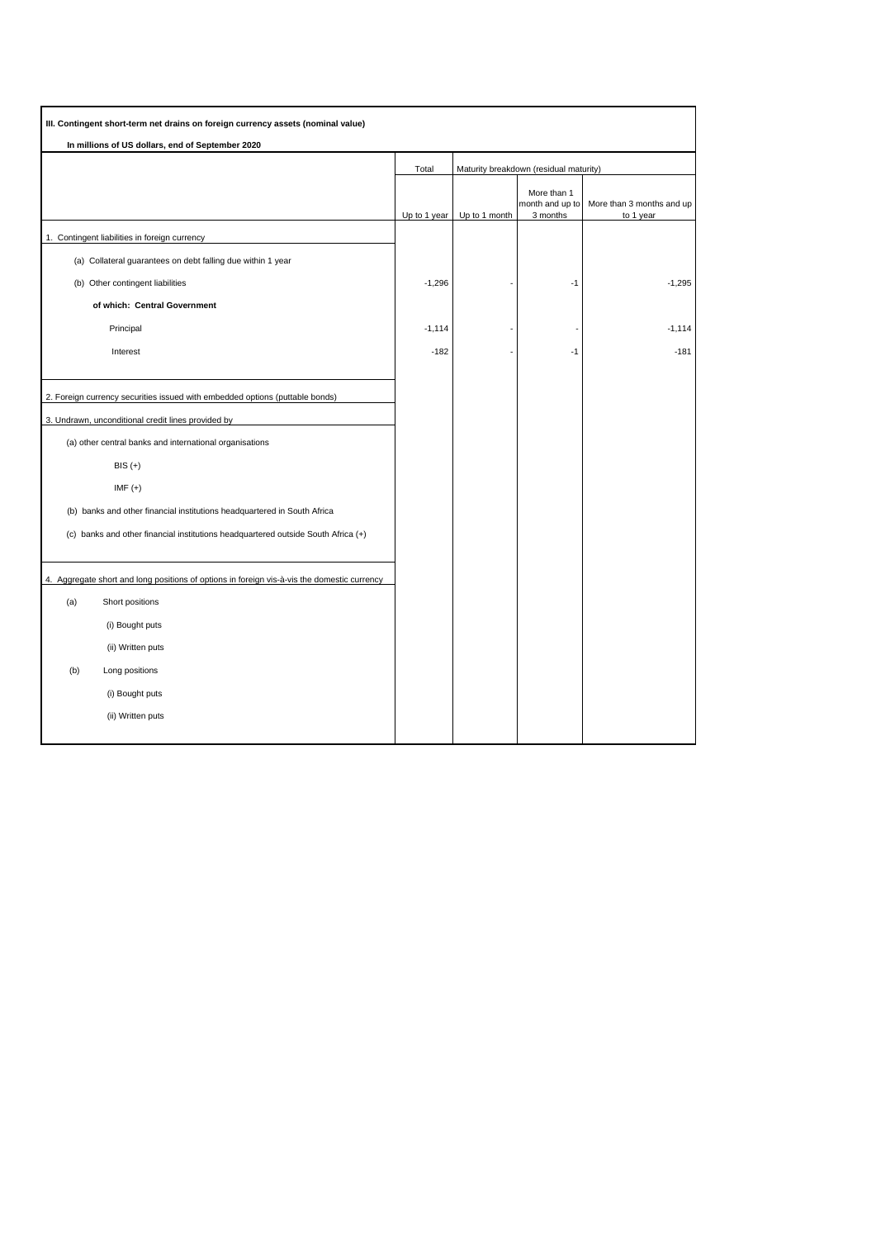| III. Contingent short-term net drains on foreign currency assets (nominal value)               |              |                                        |                                            |                                        |
|------------------------------------------------------------------------------------------------|--------------|----------------------------------------|--------------------------------------------|----------------------------------------|
| In millions of US dollars, end of September 2020                                               |              |                                        |                                            |                                        |
|                                                                                                | Total        | Maturity breakdown (residual maturity) |                                            |                                        |
|                                                                                                | Up to 1 year | Up to 1 month                          | More than 1<br>month and up to<br>3 months | More than 3 months and up<br>to 1 year |
| 1. Contingent liabilities in foreign currency                                                  |              |                                        |                                            |                                        |
| (a) Collateral guarantees on debt falling due within 1 year                                    |              |                                        |                                            |                                        |
| (b) Other contingent liabilities                                                               | $-1,296$     |                                        | $-1$                                       | $-1,295$                               |
| of which: Central Government                                                                   |              |                                        |                                            |                                        |
| Principal                                                                                      | $-1,114$     |                                        |                                            | $-1,114$                               |
| Interest                                                                                       | $-182$       |                                        | $-1$                                       | $-181$                                 |
|                                                                                                |              |                                        |                                            |                                        |
| 2. Foreign currency securities issued with embedded options (puttable bonds)                   |              |                                        |                                            |                                        |
| 3. Undrawn, unconditional credit lines provided by                                             |              |                                        |                                            |                                        |
| (a) other central banks and international organisations                                        |              |                                        |                                            |                                        |
| $BIS (+)$                                                                                      |              |                                        |                                            |                                        |
| IMF $(+)$                                                                                      |              |                                        |                                            |                                        |
| (b) banks and other financial institutions headquartered in South Africa                       |              |                                        |                                            |                                        |
| (c) banks and other financial institutions headquartered outside South Africa (+)              |              |                                        |                                            |                                        |
|                                                                                                |              |                                        |                                            |                                        |
| Aggregate short and long positions of options in foreign vis-à-vis the domestic currency<br>4. |              |                                        |                                            |                                        |
| (a)<br>Short positions                                                                         |              |                                        |                                            |                                        |
| (i) Bought puts                                                                                |              |                                        |                                            |                                        |
| (ii) Written puts                                                                              |              |                                        |                                            |                                        |
| (b)<br>Long positions                                                                          |              |                                        |                                            |                                        |
| (i) Bought puts                                                                                |              |                                        |                                            |                                        |
| (ii) Written puts                                                                              |              |                                        |                                            |                                        |
|                                                                                                |              |                                        |                                            |                                        |